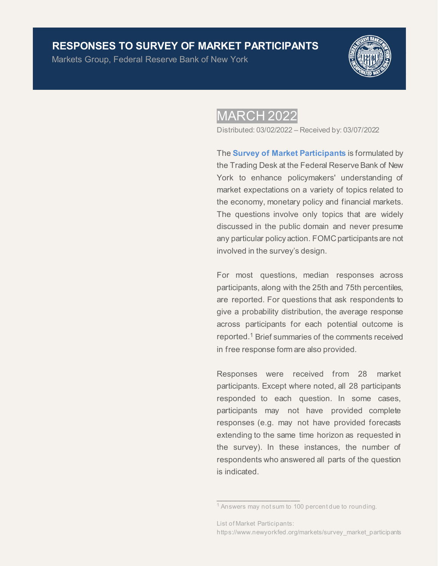## **RESPONSES TO SURVEY OF MARKET PARTICIPANTS**

Markets Group, Federal Reserve Bank of New York



## **MARCH 2022**

Distributed: 03/02/2022 – Received by: 03/07/2022

The **[Survey of Market Participants](https://www.newyorkfed.org/markets/survey_market_participants)** is formulated by the Trading Desk at the Federal Reserve Bank of New York to enhance policymakers' understanding of market expectations on a variety of topics related to the economy, monetary policy and financial markets. The questions involve only topics that are widely discussed in the public domain and never presume any particular policy action. FOMC participants are not involved in the survey's design.

For most questions, median responses across participants, along with the 25th and 75th percentiles, are reported. For questions that ask respondents to give a probability distribution, the average response across participants for each potential outcome is reported.1 Brief summaries of the comments received in free response form are also provided.

Responses were received from 28 market participants. Except where noted, all 28 participants responded to each question. In some cases, participants may not have provided complete responses (e.g. may not have provided forecasts extending to the same time horizon as requested in the survey). In these instances, the number of respondents who answered all parts of the question is indicated.

 $\overline{\phantom{a}}$  ,  $\overline{\phantom{a}}$  ,  $\overline{\phantom{a}}$  ,  $\overline{\phantom{a}}$  ,  $\overline{\phantom{a}}$  ,  $\overline{\phantom{a}}$  ,  $\overline{\phantom{a}}$  ,  $\overline{\phantom{a}}$  ,  $\overline{\phantom{a}}$  ,  $\overline{\phantom{a}}$  ,  $\overline{\phantom{a}}$  ,  $\overline{\phantom{a}}$  ,  $\overline{\phantom{a}}$  ,  $\overline{\phantom{a}}$  ,  $\overline{\phantom{a}}$  ,  $\overline{\phantom{a}}$ 

<sup>&</sup>lt;sup>1</sup> Answers may not sum to 100 percent due to rounding.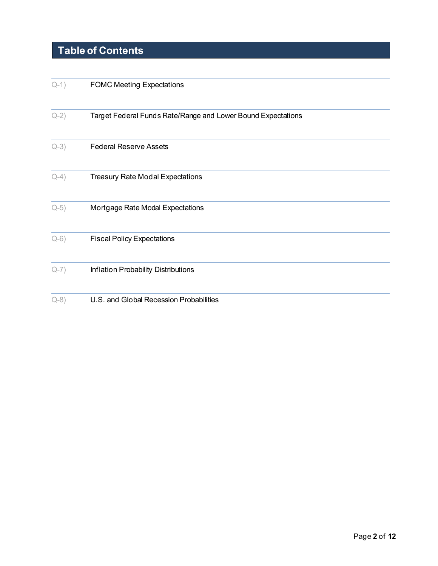# **Table of Contents**

| $Q-1)$ | <b>FOMC Meeting Expectations</b>                             |
|--------|--------------------------------------------------------------|
| $Q-2)$ | Target Federal Funds Rate/Range and Lower Bound Expectations |
| $Q-3)$ | <b>Federal Reserve Assets</b>                                |
| $Q-4)$ | <b>Treasury Rate Modal Expectations</b>                      |
| $Q-5)$ | Mortgage Rate Modal Expectations                             |
| $Q-6)$ | <b>Fiscal Policy Expectations</b>                            |
| $Q-7)$ | Inflation Probability Distributions                          |
| $Q-8)$ | U.S. and Global Recession Probabilities                      |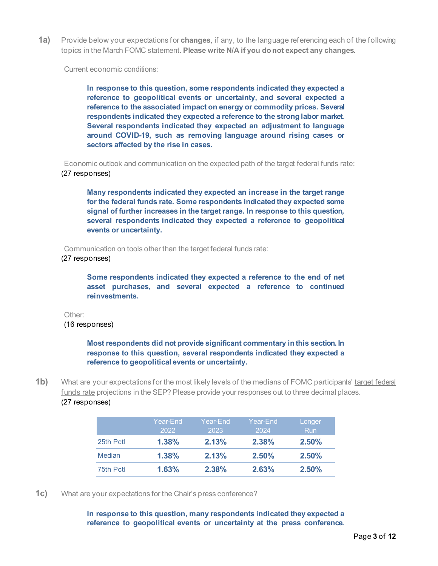<span id="page-2-0"></span>**1a)** Provide below your expectations for **changes**, if any, to the language referencing each of the following topics in the March FOMC statement. **Please write N/A if you do not expect any changes.**

Current economic conditions:

**In response to this question, some respondents indicated they expected a reference to geopolitical events or uncertainty, and several expected a reference to the associated impact on energy or commodity prices. Several respondents indicated they expected a reference to the strong labor market. Several respondents indicated they expected an adjustment to language around COVID-19, such as removing language around rising cases or sectors affected by the rise in cases.**

Economic outlook and communication on the expected path of the target federal funds rate: (27 responses)

**Many respondents indicated they expected an increase in the target range for the federal funds rate. Some respondents indicated they expected some signal of further increases in the target range. In response to this question, several respondents indicated they expected a reference to geopolitical events or uncertainty.**

Communication on tools other than the target federal funds rate:

(27 responses)

**Some respondents indicated they expected a reference to the end of net asset purchases, and several expected a reference to continued reinvestments.**

Other: (16 responses)

> **Most respondents did not provide significant commentary in this section. In response to this question, several respondents indicated they expected a reference to geopolitical events or uncertainty.**

**1b)** What are your expectations for the most likely levels of the medians of FOMC participants' target federal funds rate projections in the SEP? Please provide your responses out to three decimal places. (27 responses)

|           | Year-End | Year-End | Year-End i | Longer     |
|-----------|----------|----------|------------|------------|
|           | 2022     | 2023     | 2024       | <b>Run</b> |
| 25th Pctl | 1.38%    | 2.13%    | 2.38%      | 2.50%      |
| Median    | 1.38%    | 2.13%    | 2.50%      | 2.50%      |
| 75th Pctl | 1.63%    | $2.38\%$ | 2.63%      | 2.50%      |

**1c)** What are your expectations for the Chair's press conference?

**In response to this question, many respondents indicated they expected a reference to geopolitical events or uncertainty at the press conference.**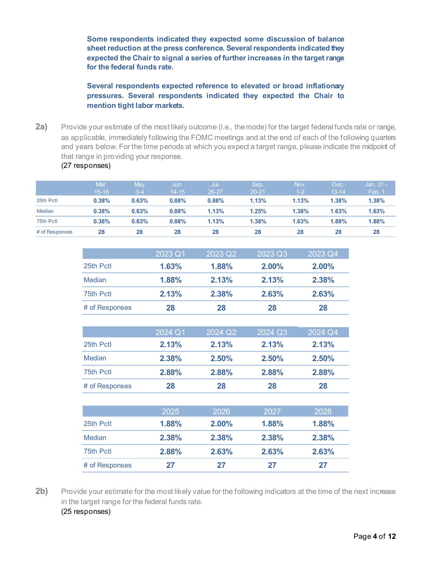**Some respondents indicated they expected some discussion of balance sheet reduction at the press conference. Several respondents indicated they expected the Chair to signal a series of further increases in the target range for the federal funds rate.** 

**Several respondents expected reference to elevated or broad inflationary pressures. Several respondents indicated they expected the Chair to mention tight labor markets.** 

<span id="page-3-0"></span>2a) Provide your estimate of the most likely outcome (i.e., the mode) for the target federal funds rate or range, as applicable, immediately following the FOMC meetings and at the end of each of the following quarters and years below. For the time periods at which you expect a target range, please indicate the midpoint of that range in providing your response. (27 responses)

| # of Responses | 28                | 28             | 28                | 28            | 28                | 28              | 28                | 28                       |
|----------------|-------------------|----------------|-------------------|---------------|-------------------|-----------------|-------------------|--------------------------|
| 75th Pctl      | 0.38%             | 0.63%          | 0.88%             | 1.13%         | 1.38%             | 1.63%           | 1.88%             | 1.88%                    |
| <b>Median</b>  | 0.38%             | 0.63%          | 0.88%             | 1.13%         | 1.25%             | 1.38%           | 1.63%             | 1.63%                    |
| 25th Pctl      | 0.38%             | 0.63%          | 0.88%             | 0.88%         | 1.13%             | 1.13%           | 1.38%             | 1.38%                    |
|                | Mar.<br>$15 - 16$ | May<br>$3 - 4$ | Jun.<br>$14 - 15$ | Jul.<br>26-27 | Sep.<br>$20 - 21$ | Nov.<br>$1 - 2$ | Dec.<br>$13 - 14$ | <b>Jan. 31</b><br>Feb. 1 |

|                | 2023 Q1 | 2023 Q2 | 2023 Q3  | 2023 Q4  |
|----------------|---------|---------|----------|----------|
| 25th Pctl      | 1.63%   | 1.88%   | $2.00\%$ | $2.00\%$ |
| Median         | 1.88%   | 2.13%   | 2.13%    | 2.38%    |
| 75th Pctl      | 2.13%   | 2.38%   | 2.63%    | 2.63%    |
| # of Responses | 28      | 28      | 28       | 28       |

|                | 2024 Q1 | 2024 Q2 | 2024 Q3 | 2024 Q4 |
|----------------|---------|---------|---------|---------|
| 25th Pctl      | 2.13%   | 2.13%   | 2.13%   | 2.13%   |
| Median         | 2.38%   | 2.50%   | 2.50%   | 2.50%   |
| 75th Pctl      | 2.88%   | 2.88%   | 2.88%   | 2.88%   |
| # of Responses | 28      | 28      | 28      | 28      |
|                |         |         |         |         |
|                | 2025    | 2026    | 2027    | 2028    |
| 25th Pctl      | 1.88%   | 2.00%   | 1.88%   | 1.88%   |

| Median         | $2.38\%$ | 2.38% | 2.38% | 2.38% |
|----------------|----------|-------|-------|-------|
| 75th Pctl      | 2.88%    | 2.63% | 2.63% | 2.63% |
| # of Responses | 27       | 27    | 27    | 27    |

2b) Provide your estimate for the most likely value for the following indicators at the time of the next increase in the target range for the federal funds rate. (25 responses)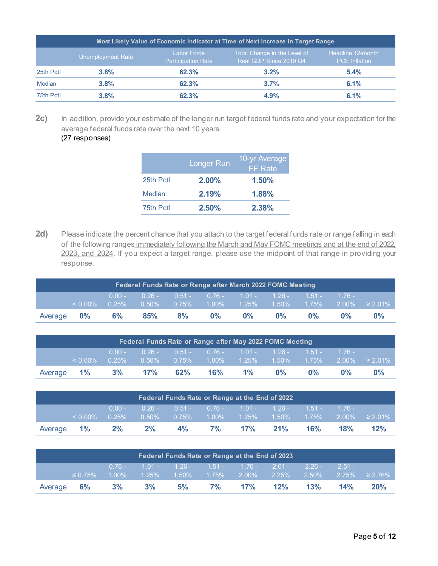| Most Likely Value of Economic Indicator at Time of Next Increase in Target Range |                   |                                                 |                                                        |                                           |  |  |  |  |  |
|----------------------------------------------------------------------------------|-------------------|-------------------------------------------------|--------------------------------------------------------|-------------------------------------------|--|--|--|--|--|
|                                                                                  | Unemployment Rate | <b>Labor Force</b><br><b>Participation Rate</b> | Total Change in the Level of<br>Real GDP Since 2019 Q4 | Headline 12-month<br><b>PCE</b> Inflation |  |  |  |  |  |
| 25th Pctl                                                                        | 3.8%              | 62.3%                                           | 3.2%                                                   | 5.4%                                      |  |  |  |  |  |
| Median                                                                           | 3.8%              | 62.3%                                           | 3.7%                                                   | 6.1%                                      |  |  |  |  |  |
| 75th Pctl                                                                        | 3.8%              | 62.3%                                           | 4.9%                                                   | 6.1%                                      |  |  |  |  |  |

2c) In addition, provide your estimate of the longer run target federal funds rate and your expectation for the average federal funds rate over the next 10 years.

## (27 responses)

|           | <b>Longer Run</b> | 10-yr Average<br><b>FF</b> Rate |
|-----------|-------------------|---------------------------------|
| 25th Pctl | $2.00\%$          | 1.50%                           |
| Median    | 2.19%             | 1.88%                           |
| 75th Pctl | 2.50%             | 2.38%                           |

2d) Please indicate the percent chance that you attach to the target federal funds rate or range falling in each of the following ranges immediately following the March and May FOMC meetings and at the end of 2022, 2023, and 2024. If you expect a target range, please use the midpoint of that range in providing your response.

| Federal Funds Rate or Range after March 2022 FOMC Meeting |            |                      |     |                                                    |       |       |       |       |       |                                                                              |
|-----------------------------------------------------------|------------|----------------------|-----|----------------------------------------------------|-------|-------|-------|-------|-------|------------------------------------------------------------------------------|
|                                                           | $< 0.00\%$ | $0.00 -$<br>$0.25\%$ |     | $0.26 - 0.51 - 0.76 - 1.01 - 1.26 - 1.51 - 1.76 -$ |       |       |       |       |       | $0.50\%$ $0.75\%$ $1.00\%$ $1.25\%$ $1.50\%$ $1.75\%$ $2.00\%$ $\geq 2.01\%$ |
| Average <b>0%</b>                                         |            | $6\%$                | 85% | 8%                                                 | $0\%$ | $0\%$ | $0\%$ | $0\%$ | $0\%$ | $0\%$                                                                        |

| Federal Funds Rate or Range after May 2022 FOMC Meeting |            |          |           |                |                                                         |       |       |           |       |                     |
|---------------------------------------------------------|------------|----------|-----------|----------------|---------------------------------------------------------|-------|-------|-----------|-------|---------------------|
|                                                         |            |          |           |                | 0.00 - 0.26 - 0.51 - 0.76 - 1.01 - 1.26 - 1.51 - 1.76 - |       |       |           |       |                     |
|                                                         | $< 0.00\%$ | $0.25\%$ |           | $0.50\%$ 0.75% | $1.00\%$ $1.2\overline{5}\%$ $1.50\%$ .                 |       |       | $-1.75\%$ |       | $2.00\% \ge 2.01\%$ |
| Average 1%                                              |            |          | $3\%$ 17% | 62%            | $16\%$                                                  | $1\%$ | $0\%$ | $0\%$     | $0\%$ | $0\%$               |

| Federal Funds Rate or Range at the End of 2022 |            |          |    |       |      |                                                      |     |        |     |                                                                                                                |
|------------------------------------------------|------------|----------|----|-------|------|------------------------------------------------------|-----|--------|-----|----------------------------------------------------------------------------------------------------------------|
|                                                |            | $0.00 -$ |    |       |      | $1.0.26 - 0.51 - 0.76 - 1.01 - 1.26 - 1.51 - 1.76 -$ |     |        |     |                                                                                                                |
|                                                | $< 0.00\%$ | $0.25\%$ |    |       |      |                                                      |     |        |     | $\begin{array}{ c c }{0.50\%} & 0.75\% & 1.00\% & 1.25\% & 1.50\% & 1.75\% & 2.00\% & \geq 2.01\% \end{array}$ |
| Average 1%                                     |            | $2\%$    | 2% | $4\%$ | 7% · | 17%                                                  | 21% | $16\%$ | 18% | 12%                                                                                                            |

| Federal Funds Rate or Range at the End of 2023 |               |                      |    |    |      |                                             |     |     |          |     |
|------------------------------------------------|---------------|----------------------|----|----|------|---------------------------------------------|-----|-----|----------|-----|
|                                                | $\leq 0.75\%$ | $0.76 -$<br>$1.00\%$ |    |    |      | $1.01 - 1.26 - 1.51 - 1.76 - 2.01 - 2.26 -$ |     |     | $2.51 -$ |     |
|                                                |               |                      |    |    |      |                                             |     |     |          |     |
| Average                                        | $6\%$         | 3%                   | 3% | 5% | 7% l | 17%                                         | 12% | 13% | 14%      | 20% |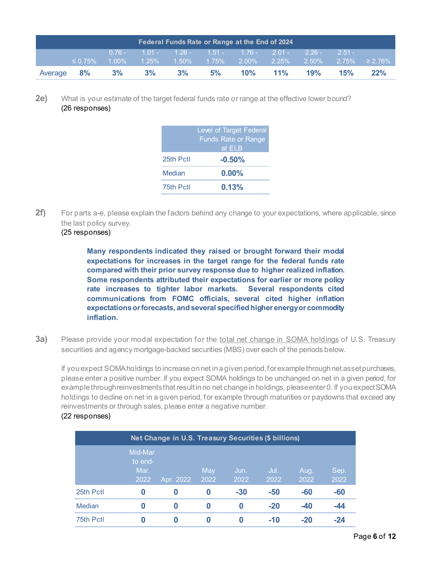| Federal Funds Rate or Range at the End of 2024 |                     |  |  |  |       |                                                           |  |             |     |                                                                                     |
|------------------------------------------------|---------------------|--|--|--|-------|-----------------------------------------------------------|--|-------------|-----|-------------------------------------------------------------------------------------|
|                                                |                     |  |  |  |       | $0.76 - 1.01 - 1.26 - 1.51 - 1.76 - 2.01 - 2.26 - 2.51 -$ |  |             |     |                                                                                     |
|                                                | $\leq 0.75\%$       |  |  |  |       |                                                           |  |             |     | $^{\prime}$ 1.00% = 1.25% = 1.50% = 1.75% = 2.00% = 2.25% = 2.50% = 2.75% = 2.76% = |
|                                                | Average 8% 3% 3% 3% |  |  |  | $5\%$ |                                                           |  | 10% 11% 19% | 15% | 22%                                                                                 |

**2e)** What is your estimate of the target federal funds rate or range at the effective lower bound? (26 responses)

|           | <b>Level of Target Federal</b><br><b>Funds Rate or Range</b><br>at ELB |
|-----------|------------------------------------------------------------------------|
| 25th Pctl | $-0.50%$                                                               |
| Median    | $0.00\%$                                                               |
| 75th Pctl | 0.13%                                                                  |

**2f)** For parts a-e, please explain the factors behind any change to your expectations, where applicable, since the last policy survey.

## (25 responses)

**Many respondents indicated they raised or brought forward their modal expectations for increases in the target range for the federal funds rate compared with their prior survey response due to higher realized inflation. Some respondents attributed their expectations for earlier or more policy rate increases to tighter labor markets. Several respondents cited communications from FOMC officials, several cited higher inflation expectations or forecasts, and several specified higher energy or commodity inflation.**

<span id="page-5-0"></span>**3a)** Please provide your modal expectation for the total net change in SOMA holdings of U.S. Treasury securities and agency mortgage-backed securities (MBS) over each of the periods below.

If you expect SOMA holdings to increase on net in a given period, for example through net asset purchases, please enter a positive number. If you expect SOMA holdings to be unchanged on net in a given period, for example through reinvestments that result in no net change in holdings, please enter 0. If you expect SOMA holdings to decline on net in a given period, for example through maturities or paydowns that exceed any reinvestments or through sales, please enter a negative number.

#### (22 responses)

|           | Net Change in U.S. Treasury Securities (\$ billions) |           |             |              |              |              |              |  |  |  |  |
|-----------|------------------------------------------------------|-----------|-------------|--------------|--------------|--------------|--------------|--|--|--|--|
|           | Mid-Mar.<br>to end-<br>Mar.<br>2022                  | Apr. 2022 | May<br>2022 | Jun.<br>2022 | Jul.<br>2022 | Aug.<br>2022 | Sep.<br>2022 |  |  |  |  |
| 25th Pctl | 0                                                    | 0         | 0           | $-30$        | $-50$        | $-60$        | $-60$        |  |  |  |  |
| Median    | 0                                                    | 0         | 0           | 0            | $-20$        | $-40$        | $-44$        |  |  |  |  |
| 75th Pctl | 0                                                    | 0         |             |              | $-10$        | -20          | $-24$        |  |  |  |  |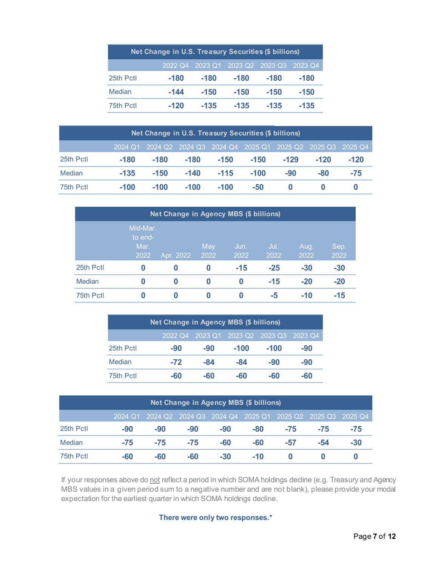| Net Change in U.S. Treasury Securities (\$ billions) |        |        |                                         |        |        |  |  |  |  |  |
|------------------------------------------------------|--------|--------|-----------------------------------------|--------|--------|--|--|--|--|--|
|                                                      |        |        | 2022 Q4 2023 Q1 2023 Q2 2023 Q3 2023 Q4 |        |        |  |  |  |  |  |
| 25th Pctl                                            | $-180$ | $-180$ | $-180$                                  | $-180$ | $-180$ |  |  |  |  |  |
| Median                                               | -144   | $-150$ | $-150$                                  | $-150$ | $-150$ |  |  |  |  |  |
| 75th Pctl                                            | $-120$ | $-135$ | $-135$                                  | $-135$ | -135   |  |  |  |  |  |

| Net Change in U.S. Treasury Securities (\$ billions) |        |                                                                 |        |        |        |        |        |        |  |  |  |
|------------------------------------------------------|--------|-----------------------------------------------------------------|--------|--------|--------|--------|--------|--------|--|--|--|
|                                                      |        | 2024 Q1 2024 Q2 2024 Q3 2024 Q4 2025 Q1 2025 Q2 2025 Q3 2025 Q4 |        |        |        |        |        |        |  |  |  |
| 25th Pctl                                            | -180   | $-180$                                                          | $-180$ | $-150$ | $-150$ | $-129$ | $-120$ | $-120$ |  |  |  |
| Median                                               | $-135$ | $-150$                                                          | $-140$ | $-115$ | $-100$ | $-90$  | -80    | $-75$  |  |  |  |
| 75th Pctl                                            | $-100$ | $-100$                                                          | $-100$ | $-100$ | -50    |        |        |        |  |  |  |

|               | Net Change in Agency MBS (\$ billions) |           |             |              |              |              |              |  |  |  |  |
|---------------|----------------------------------------|-----------|-------------|--------------|--------------|--------------|--------------|--|--|--|--|
|               | Mid-Mar.<br>to end-<br>Mar.<br>2022    | Apr. 2022 | May<br>2022 | Jun.<br>2022 | Jul.<br>2022 | Aug.<br>2022 | Sep.<br>2022 |  |  |  |  |
| 25th Pctl     | 0                                      | 0         | 0           | $-15$        | $-25$        | $-30$        | $-30$        |  |  |  |  |
| <b>Median</b> | 0                                      | 0         | 0           | 0            | $-15$        | $-20$        | $-20$        |  |  |  |  |
| 75th Pctl     | 0                                      | 0         | 0           | 0            | -5           | -10          | $-15$        |  |  |  |  |

| <b>Net Change in Agency MBS (\$ billions)</b> |       |     |                                         |        |     |  |  |  |  |  |
|-----------------------------------------------|-------|-----|-----------------------------------------|--------|-----|--|--|--|--|--|
|                                               |       |     | 2022 Q4 2023 Q1 2023 Q2 2023 Q3 2023 Q4 |        |     |  |  |  |  |  |
| 25th Pctl                                     | -90   | -90 | $-100$                                  | $-100$ | -90 |  |  |  |  |  |
| Median                                        | $-72$ | -84 | -84                                     | -90    | -90 |  |  |  |  |  |
| 75th Pctl                                     | -60   | -60 | -60                                     | -60    | -60 |  |  |  |  |  |

| <b>Net Change in Agency MBS (\$ billions)</b> |       |       |       |       |                                                                 |       |       |     |  |  |  |
|-----------------------------------------------|-------|-------|-------|-------|-----------------------------------------------------------------|-------|-------|-----|--|--|--|
|                                               |       |       |       |       | 2024 Q1 2024 Q2 2024 Q3 2024 Q4 2025 Q1 2025 Q2 2025 Q3 2025 Q4 |       |       |     |  |  |  |
| 25th Pctl                                     | -90   | -90   | $-90$ | $-90$ | -80                                                             | $-75$ | $-75$ | -75 |  |  |  |
| <b>Median</b>                                 | $-75$ | $-75$ | $-75$ | -60   | -60                                                             | -57   | -54   | -30 |  |  |  |
| 75th Pctl                                     | -60   | -60   | -60   | $-30$ | $-10$                                                           |       |       |     |  |  |  |

If your responses above do not reflect a period in which SOMA holdings decline (e.g. Treasury and Agency MBS values in a given period sum to a negative number and are not blank), please provide your modal expectation for the earliest quarter in which SOMA holdings decline.

**There were only two responses.\***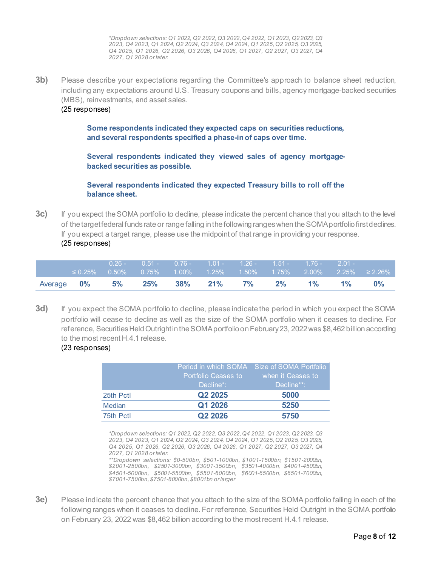*\*Dropdown selections: Q1 2022, Q2 2022, Q3 2022, Q4 2022, Q1 2023, Q2 2023, Q3 2023, Q4 2023, Q1 2024, Q2 2024, Q3 2024, Q4 2024, Q1 2025, Q2 2025, Q3 2025, Q4 2025, Q1 2026, Q2 2026, Q3 2026, Q4 2026, Q1 2027, Q2 2027, Q3 2027, Q4 2027, Q1 2028 or later.*

**3b)** Please describe your expectations regarding the Committee's approach to balance sheet reduction, including any expectations around U.S. Treasury coupons and bills, agency mortgage-backed securities (MBS), reinvestments, and asset sales.

#### (25 responses)

**Some respondents indicated they expected caps on securities reductions, and several respondents specified a phase-in of caps over time.** 

**Several respondents indicated they viewed sales of agency mortgagebacked securities as possible.** 

**Several respondents indicated they expected Treasury bills to roll off the balance sheet.**

**3c)** If you expect the SOMA portfolio to decline, please indicate the percent chance that you attach to the level of the target federal funds rate or range falling in the following ranges when the SOMA portfolio first declines. If you expect a target range, please use the midpoint of that range in providing your response. (25 responses)

|            | $\leq 0.25\%$ | $0.26 -$ |           |            | $0.51 - 0.76 - 1.01 - 1.26 - 1.51 - 1.76 - 2.01 -$ |           |       |       |       | $0.50\%$ $0.75\%$ $1.00\%$ $1.25\%$ $1.50\%$ $1.75\%$ $2.00\%$ $2.25\%$ ≥ 2.26% |
|------------|---------------|----------|-----------|------------|----------------------------------------------------|-----------|-------|-------|-------|---------------------------------------------------------------------------------|
| Average 0% |               |          | $5\%$ 25% | $38\%$ 21% |                                                    | <b>7%</b> | $2\%$ | $1\%$ | $1\%$ | $0\%$                                                                           |

**3d)** If you expect the SOMA portfolio to decline, please indicate the period in which you expect the SOMA portfolio will cease to decline as well as the size of the SOMA portfolio when it ceases to decline. For reference, Securities Held Outright in the SOMA portfolio on February 23, 2022 was \$8,462 billion according to the most recent H.4.1 release.

#### (23 responses)

|               |                     | Period in which SOMA Size of SOMA Portfolio |
|---------------|---------------------|---------------------------------------------|
|               | Portfolio Ceases to | when it Ceases to                           |
|               | Decline*:           | Decline**: '                                |
| 25th Pctl     | Q <sub>2</sub> 2025 | 5000                                        |
| <b>Median</b> | Q1 2026             | 5250                                        |
| 75th Pctl     | Q <sub>2</sub> 2026 | 5750                                        |

*\*Dropdown selections: Q1 2022, Q2 2022, Q3 2022, Q4 2022, Q1 2023, Q2 2023, Q3 2023, Q4 2023, Q1 2024, Q2 2024, Q3 2024, Q4 2024, Q1 2025, Q2 2025, Q3 2025, Q4 2025, Q1 2026, Q2 2026, Q3 2026, Q4 2026, Q1 2027, Q2 2027, Q3 2027, Q4 2027, Q1 2028 or later.* 

*\*\*Dropdown selections: \$0-500bn, \$501-1000bn, \$1001-1500bn, \$1501-2000bn, \$2001-2500bn, \$2501-3000bn, \$3001-3500bn, \$3501-4000bn, \$4001-4500bn, \$4501-5000bn, \$5001-5500bn, \$5501-6000bn, \$6001-6500bn, \$6501-7000bn, \$7001-7500bn, \$7501-8000bn, \$8001bn or larger*

**3e)** Please indicate the percent chance that you attach to the size of the SOMA portfolio falling in each of the following ranges when it ceases to decline. For reference, Securities Held Outright in the SOMA portfolio on February 23, 2022 was \$8,462 billion according to the most recent H.4.1 release.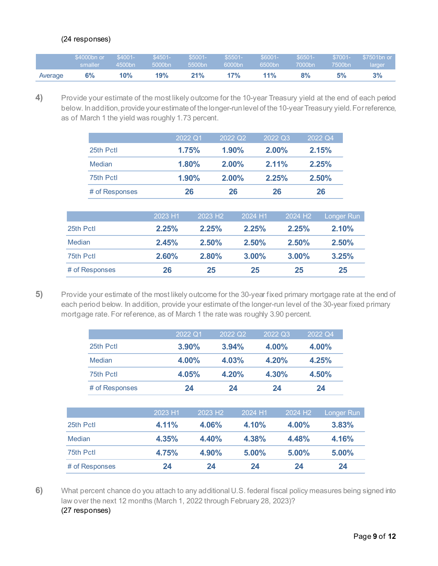### (24 responses)

|         | \$4000bn or | $$4001-$ | $$4501-$ | $$5001-$ | $$5501-$  | $$6001-$ | $$6501 -$ | \$7001-   | \$7501bn or |
|---------|-------------|----------|----------|----------|-----------|----------|-----------|-----------|-------------|
|         | smaller     | 4500bn   | 5000bn   | 5500bn   | 6000bn    | 6500bn   | 7000bn    | $7500$ bn | larger      |
| Average | 6%          | 10%      | 19%      | 21%      | <b>7%</b> | 11%      | 8%        | 5%        | 3%          |

<span id="page-8-0"></span>**4)** Provide your estimate of the most likely outcome for the 10-year Treasury yield at the end of each period below. In addition, provide your estimate of the longer-run level of the 10-year Treasury yield. For reference, as of March 1 the yield was roughly 1.73 percent.

|               |                |         | 2022 Q1             | 2022 Q2<br>2022 Q3 |         |                     | 2022 Q4           |  |
|---------------|----------------|---------|---------------------|--------------------|---------|---------------------|-------------------|--|
|               | 25th Pctl      |         | 1.75%               | 1.90%              | 2.00%   |                     | 2.15%             |  |
|               | Median         |         | 1.80%               | 2.00%              | 2.11%   |                     | 2.25%             |  |
|               | 75th Pctl      |         | 1.90%               | 2.00%              | 2.25%   |                     | 2.50%             |  |
|               | # of Responses |         | 26                  | 26                 | 26      |                     | 26                |  |
|               |                |         |                     |                    |         |                     |                   |  |
|               |                | 2023 H1 | 2023 H <sub>2</sub> |                    | 2024 H1 | 2024 H <sub>2</sub> | <b>Longer Run</b> |  |
| 25th Pctl     |                | 2.25%   | 2.25%               |                    | 2.25%   | 2.25%               | 2.10%             |  |
| <b>Median</b> |                | 2.45%   | 2.50%               |                    | 2.50%   | 2.50%               | 2.50%             |  |
| 75th Pctl     |                | 2.60%   | 2.80%               |                    | 3.00%   | 3.00%               | 3.25%             |  |
|               | # of Responses | 26      | 25                  |                    | 25      | 25                  | 25                |  |

<span id="page-8-1"></span>**5)** Provide your estimate of the most likely outcome for the 30-year fixed primary mortgage rate at the end of each period below. In addition, provide your estimate of the longer-run level of the 30-year fixed primary mortgage rate. For reference, as of March 1 the rate was roughly 3.90 percent.

|                | 2022 Q1  | 2022 Q <sub>2</sub> | 2022 Q3 | 2022 Q4 |
|----------------|----------|---------------------|---------|---------|
| 25th Pctl      | $3.90\%$ | 3.94%               | 4.00%   | 4.00%   |
| <b>Median</b>  | 4.00%    | 4.03%               | 4.20%   | 4.25%   |
| 75th Pctl      | 4.05%    | 4.20%               | 4.30%   | 4.50%   |
| # of Responses | 24       | 24                  | 24      | 24      |

|                | 2023 H1 | 2023 H <sub>2</sub> | 2024 H1 | 2024 H <sub>2</sub> | Longer Run |
|----------------|---------|---------------------|---------|---------------------|------------|
| 25th Pctl      | 4.11%   | 4.06%               | 4.10%   | 4.00%               | 3.83%      |
| Median         | 4.35%   | 4.40%               | 4.38%   | 4.48%               | 4.16%      |
| 75th Pctl      | 4.75%   | 4.90%               | 5.00%   | 5.00%               | 5.00%      |
| # of Responses | 24      | 24                  | 24      | 24                  | 24         |

<span id="page-8-2"></span>**6)** What percent chance do you attach to any additional U.S. federal fiscal policy measures being signed into law over the next 12 months (March 1, 2022 through February 28, 2023)? (27 responses)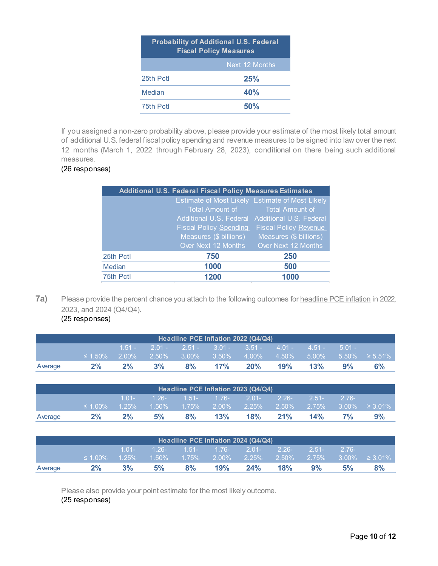| <b>Probability of Additional U.S. Federal</b><br><b>Fiscal Policy Measures</b> |                |  |  |  |  |
|--------------------------------------------------------------------------------|----------------|--|--|--|--|
|                                                                                | Next 12 Months |  |  |  |  |
| 25th Pctl                                                                      | 25%            |  |  |  |  |
| Median                                                                         | 40%            |  |  |  |  |
| 75th Pctl                                                                      | 50%            |  |  |  |  |

If you assigned a non-zero probability above, please provide your estimate of the most likely total amount of additional U.S. federal fiscal policy spending and revenue measures to be signed into law over the next 12 months (March 1, 2022 through February 28, 2023), conditional on there being such additional measures.

### (26 responses)

|           | <b>Additional U.S. Federal Fiscal Policy Measures Estimates</b> |                                                 |  |  |  |  |  |  |
|-----------|-----------------------------------------------------------------|-------------------------------------------------|--|--|--|--|--|--|
|           |                                                                 | Estimate of Most Likely Estimate of Most Likely |  |  |  |  |  |  |
|           | Total Amount of                                                 | <b>Total Amount of</b>                          |  |  |  |  |  |  |
|           | Additional U.S. Federal                                         | <b>Additional U.S. Federal</b>                  |  |  |  |  |  |  |
|           | <b>Fiscal Policy Spending</b>                                   | <b>Fiscal Policy Revenue</b>                    |  |  |  |  |  |  |
|           | Measures (\$ billions)                                          | Measures (\$ billions)                          |  |  |  |  |  |  |
|           | Over Next 12 Months                                             | Over Next 12 Months                             |  |  |  |  |  |  |
| 25th Pctl | 750                                                             | 250                                             |  |  |  |  |  |  |
| Median    | 1000                                                            | 500                                             |  |  |  |  |  |  |
| 75th Pctl | 1200                                                            | 1000                                            |  |  |  |  |  |  |
|           |                                                                 |                                                 |  |  |  |  |  |  |

**7a)** Please provide the percent chance you attach to the following outcomes for headline PCE inflation in 2022, 2023, and 2024 (Q4/Q4).

<span id="page-9-0"></span>(25 responses)

| Headline PCE Inflation 2022 (Q4/Q4) |               |          |    |    |     |                                                    |     |     |    |                                                                       |
|-------------------------------------|---------------|----------|----|----|-----|----------------------------------------------------|-----|-----|----|-----------------------------------------------------------------------|
|                                     |               | $1.51 -$ |    |    |     | $2.01 - 2.51 - 3.01 - 3.51 - 4.01 - 4.51 - 5.01 -$ |     |     |    |                                                                       |
|                                     | $\leq 1.50\%$ | $2.00\%$ |    |    |     |                                                    |     |     |    | $\frac{1}{2.50\%}$ 3.00% 3.50% 4.00% 4.50% 5.00% 5.50% ≥ 5.51% و2.51% |
| Average                             | $2\%$         | $2\%$    | 3% | 8% | 17% | 20%                                                | 19% | 13% | 9% | 6%                                                                    |

| Headline PCE Inflation 2023 (Q4/Q4) |               |          |                                              |                            |     |                                |     |         |                 |                      |
|-------------------------------------|---------------|----------|----------------------------------------------|----------------------------|-----|--------------------------------|-----|---------|-----------------|----------------------|
|                                     |               | $1.01 -$ | $1.26$ - $1.51$ - $1.76$ - $2.01$ - $2.26$ - |                            |     |                                |     | $2.51-$ | $2.76 - 2$      |                      |
|                                     | $\leq 1.00\%$ | $1.25\%$ |                                              | $1.50\%$ $1.75\%$ $2.00\%$ |     | $\frac{1}{2.25\%}$ 2.50% 2.75% |     |         |                 | $3.00\% \geq 3.01\%$ |
| Average                             | 2%            | $2\%$    | 5%                                           | 8%                         | 13% | 18%                            | 21% | 14%     | 7% <sup>-</sup> | 9%                   |

| Headline PCE Inflation 2024 (Q4/Q4) |               |          |    |    |                                                             |     |     |            |          |                      |
|-------------------------------------|---------------|----------|----|----|-------------------------------------------------------------|-----|-----|------------|----------|----------------------|
|                                     |               | $1.01 -$ |    |    | $1.26 - 1.51 - 1.76 - 2.01 - 2.26 -$                        |     |     | $2.51 - 7$ | $-2.76-$ |                      |
|                                     | $\leq 1.00\%$ | $1.25\%$ |    |    | $-1.50\%$ $-1.75\%$ $-2.00\%$ $-2.25\%$ $-2.50\%$ $-2.75\%$ |     |     |            |          | $3.00\% \geq 3.01\%$ |
| Average                             | $2\%$         | 3%       | 5% | 8% | 19%                                                         | 24% | 18% | 9%         | 5%       | 8%                   |

Please also provide your point estimate for the most likely outcome. (25 responses)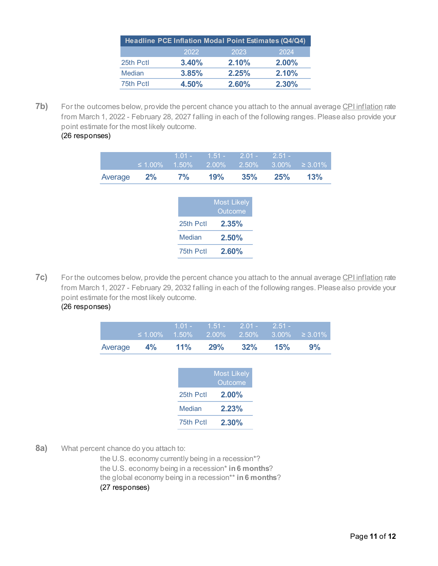|               | Headline PCE Inflation Modal Point Estimates (Q4/Q4) |       |          |
|---------------|------------------------------------------------------|-------|----------|
|               | 2022                                                 | 2023  | 2024     |
| 25th Pctl     | 3.40%                                                | 2.10% | $2.00\%$ |
| <b>Median</b> | 3.85%                                                | 2.25% | 2.10%    |
| 75th Pctl     | 4.50%                                                | 2.60% | $2.30\%$ |

**7b)** For the outcomes below, provide the percent chance you attach to the annual average CPI inflation rate from March 1, 2022 - February 28, 2027 falling in each of the following ranges. Please also provide your point estimate for the most likely outcome.

## (26 responses)

|         | $\leq 1.00\%$ | $1.01 -$<br>1.50% | $1.51 -$<br>2.00% | $2.01 -$<br>2.50%             | $2.51 -$<br>3.00% | $\geq 3.01\%$ |
|---------|---------------|-------------------|-------------------|-------------------------------|-------------------|---------------|
| Average | 2%            | 7%                | 19%               | 35%                           | 25%               | 13%           |
|         |               |                   |                   |                               |                   |               |
|         |               |                   |                   | <b>Most Likely</b><br>Outcome |                   |               |
|         |               | 25th Pctl         |                   | 2.35%                         |                   |               |
|         |               | Median            |                   | 2.50%                         |                   |               |
|         |               | 75th Pctl         |                   | 2.60%                         |                   |               |

**7c)** For the outcomes below, provide the percent chance you attach to the annual average CPI inflation rate from March 1, 2027 - February 29, 2032 falling in each of the following ranges. Please also provide your point estimate for the most likely outcome.

|  | (26 responses) |  |
|--|----------------|--|
|--|----------------|--|

|                | $1.01 - 1.51 - 2.01 - 2.51 -$<br>$\leq 1.00\%$ 1.50% 2.00% 2.50% 3.00% $\geq 3.01\%$ |        |     |    |
|----------------|--------------------------------------------------------------------------------------|--------|-----|----|
| Average 4% 11% | 29%                                                                                  | $32\%$ | 15% | 9% |
|                | Most Likaly                                                                          |        |     |    |

|           | <b>Most Likely</b><br>Outcome |
|-----------|-------------------------------|
| 25th Pctl | $2.00\%$                      |
| Median    | 2.23%                         |
| 75th Pctl | 2.30%                         |

<span id="page-10-0"></span>**8a)** What percent chance do you attach to:

the U.S. economy currently being in a recession\*? the U.S. economy being in a recession\* **in 6 months**? the global economy being in a recession\*\* **in 6 months**?

(27 responses)